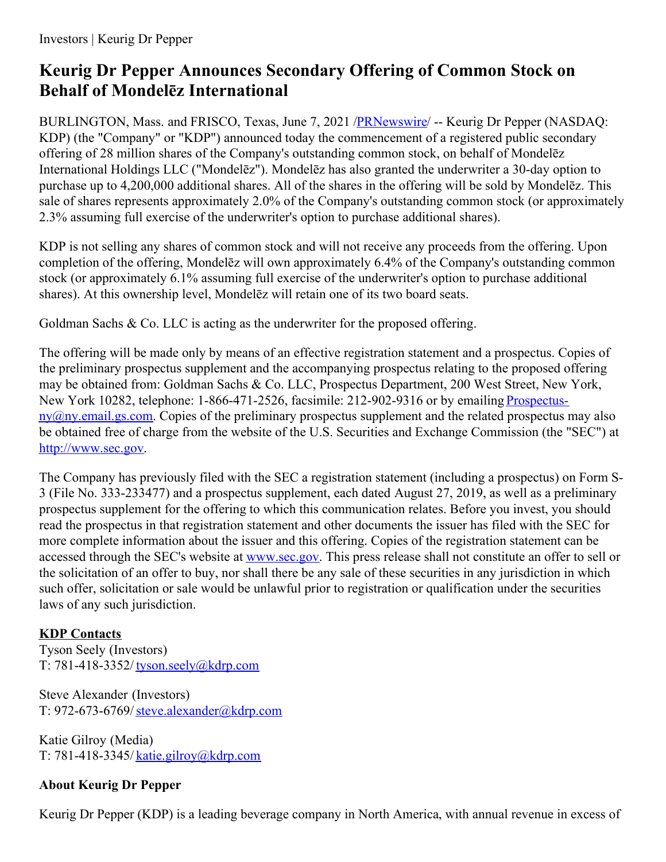# **Keurig Dr Pepper Announces Secondary Offering of Common Stock on Behalf of Mondelēz International**

BURLINGTON, Mass. and FRISCO, Texas, June 7, 2021 [/PRNewswire](http://www.prnewswire.com/)/ -- Keurig Dr Pepper (NASDAQ: KDP) (the "Company" or "KDP") announced today the commencement of a registered public secondary offering of 28 million shares of the Company's outstanding common stock, on behalf of Mondelēz International Holdings LLC ("Mondelēz"). Mondelēz has also granted the underwriter a 30-day option to purchase up to 4,200,000 additional shares. All of the shares in the offering will be sold by Mondelēz. This sale of shares represents approximately 2.0% of the Company's outstanding common stock (or approximately 2.3% assuming full exercise of the underwriter's option to purchase additional shares).

KDP is not selling any shares of common stock and will not receive any proceeds from the offering. Upon completion of the offering, Mondelēz will own approximately 6.4% of the Company's outstanding common stock (or approximately 6.1% assuming full exercise of the underwriter's option to purchase additional shares). At this ownership level, Mondelēz will retain one of its two board seats.

Goldman Sachs & Co. LLC is acting as the underwriter for the proposed offering.

The offering will be made only by means of an effective registration statement and a prospectus. Copies of the preliminary prospectus supplement and the accompanying prospectus relating to the proposed offering may be obtained from: Goldman Sachs & Co. LLC, Prospectus Department, 200 West Street, New York, New York 10282, telephone: 1-866-471-2526, facsimile: 212-902-9316 or by emailing Prospectus $nv@ny. email.g.s.com$ . Copies of the preliminary prospectus supplement and the related prospectus may also be obtained free of charge from the website of the U.S. Securities and Exchange Commission (the "SEC") at [http://www.sec.gov](https://c212.net/c/link/?t=0&l=en&o=3188509-1&h=250985288&u=http%3A%2F%2Fwww.sec.gov%2F&a=http%3A%2F%2Fwww.sec.gov).

The Company has previously filed with the SEC a registration statement (including a prospectus) on Form S-3 (File No. 333-233477) and a prospectus supplement, each dated August 27, 2019, as well as a preliminary prospectus supplement for the offering to which this communication relates. Before you invest, you should read the prospectus in that registration statement and other documents the issuer has filed with the SEC for more complete information about the issuer and this offering. Copies of the registration statement can be accessed through the SEC's website at [www.sec.gov](https://c212.net/c/link/?t=0&l=en&o=3188509-1&h=3590607379&u=http%3A%2F%2Fwww.sec.gov%2F&a=www.sec.gov). This press release shall not constitute an offer to sell or the solicitation of an offer to buy, nor shall there be any sale of these securities in any jurisdiction in which such offer, solicitation or sale would be unlawful prior to registration or qualification under the securities laws of any such jurisdiction.

### **KDP Contacts**

Tyson Seely (Investors) T: 781-418-3352/ [tyson.seely@kdrp.com](mailto:tyson.seely@kdrp.com)

Steve Alexander (Investors) T: 972-673-6769/[steve.alexander@kdrp.com](mailto:steve.alexander@kdrp.com)

Katie Gilroy (Media) T: 781-418-3345/ [katie.gilroy@kdrp.com](mailto:katie.gilroy@kdrp.com)

## **About Keurig Dr Pepper**

Keurig Dr Pepper (KDP) is a leading beverage company in North America, with annual revenue in excess of